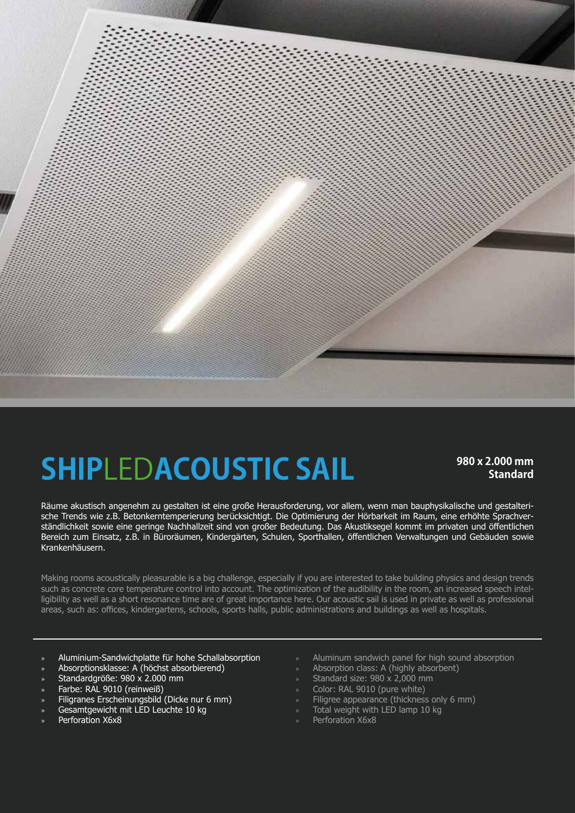

## **980 x 2.000 mm SHIP**LED**ACOUSTIC SAIL Standard**

Räume akustisch angenehm zu gestalten ist eine große Herausforderung, vor allem, wenn man bauphysikalische und gestalterische Trends wie z.B. Betonkerntemperierung berücksichtigt. Die Optimierung der Hörbarkeit im Raum, eine erhöhte Sprachverständlichkeit sowie eine geringe Nachhallzeit sind von großer Bedeutung. Das Akustiksegel kommt im privaten und öffentlichen Bereich zum Einsatz, z.B. in Büroräumen, Kindergärten, Schulen, Sporthallen, öffentlichen Verwaltungen und Gebäuden sowie Krankenhäusern.

Making rooms acoustically pleasurable is a big challenge, especially if you are interested to take building physics and design trends such as concrete core temperature control into account. The optimization of the audibility in the room, an increased speech intelligibility as well as a short resonance time are of great importance here. Our acoustic sail is used in private as well as professional areas, such as: offices, kindergartens, schools, sports halls, public administrations and buildings as well as hospitals.

- » Aluminium-Sandwichplatte für hohe Schallabsorption
- » Absorptionsklasse: A (höchst absorbierend)
- » Standardgröße: 980 x 2.000 mm
- » Farbe: RAL 9010 (reinweiß)
- » Filigranes Erscheinungsbild (Dicke nur 6 mm)
- » Gesamtgewicht mit LED Leuchte 10 kg
- » Perforation X6x8
- » Aluminum sandwich panel for high sound absorption
- » Absorption class: A (highly absorbent)
- » Standard size: 980 x 2,000 mm
- » Color: RAL 9010 (pure white)
- » Filigree appearance (thickness only 6 mm)
- Total weight with LED lamp 10 kg
- » Perforation X6x8